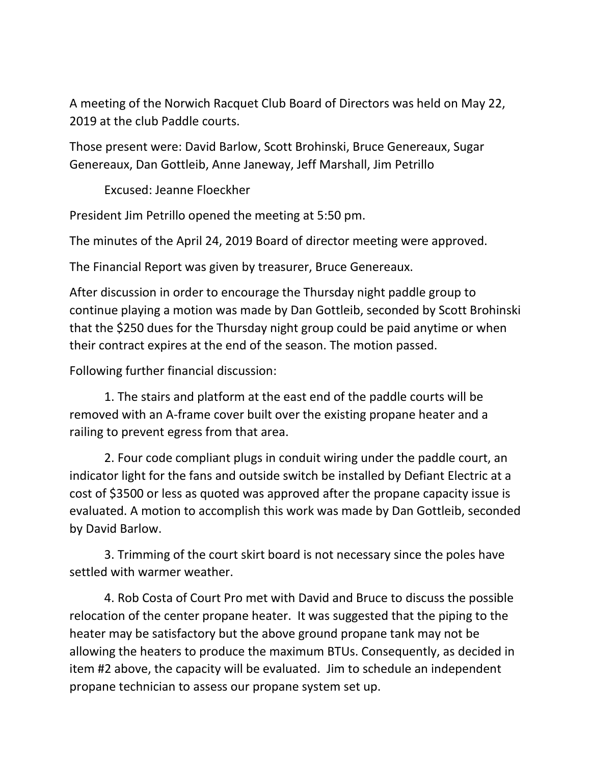A meeting of the Norwich Racquet Club Board of Directors was held on May 22, 2019 at the club Paddle courts.

Those present were: David Barlow, Scott Brohinski, Bruce Genereaux, Sugar Genereaux, Dan Gottleib, Anne Janeway, Jeff Marshall, Jim Petrillo

Excused: Jeanne Floeckher

President Jim Petrillo opened the meeting at 5:50 pm.

The minutes of the April 24, 2019 Board of director meeting were approved.

The Financial Report was given by treasurer, Bruce Genereaux.

After discussion in order to encourage the Thursday night paddle group to continue playing a motion was made by Dan Gottleib, seconded by Scott Brohinski that the \$250 dues for the Thursday night group could be paid anytime or when their contract expires at the end of the season. The motion passed.

Following further financial discussion:

1. The stairs and platform at the east end of the paddle courts will be removed with an A-frame cover built over the existing propane heater and a railing to prevent egress from that area.

2. Four code compliant plugs in conduit wiring under the paddle court, an indicator light for the fans and outside switch be installed by Defiant Electric at a cost of \$3500 or less as quoted was approved after the propane capacity issue is evaluated. A motion to accomplish this work was made by Dan Gottleib, seconded by David Barlow.

3. Trimming of the court skirt board is not necessary since the poles have settled with warmer weather.

4. Rob Costa of Court Pro met with David and Bruce to discuss the possible relocation of the center propane heater. It was suggested that the piping to the heater may be satisfactory but the above ground propane tank may not be allowing the heaters to produce the maximum BTUs. Consequently, as decided in item #2 above, the capacity will be evaluated. Jim to schedule an independent propane technician to assess our propane system set up.